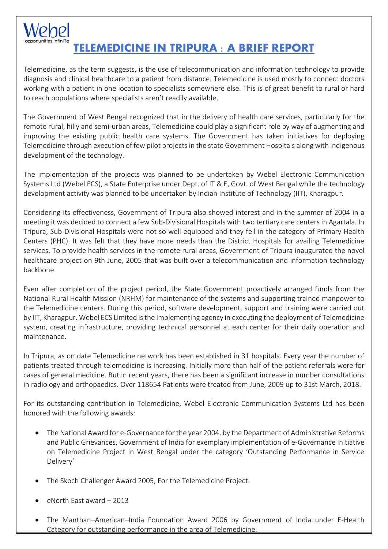## **TELEMEDICINE IN TRIPURA : A BRIEF REPORT**

Telemedicine, as the term suggests, is the use of telecommunication and information technology to provide diagnosis and clinical healthcare to a patient from distance. Telemedicine is used mostly to connect doctors working with a patient in one location to specialists somewhere else. This is of great benefit to rural or hard to reach populations where specialists aren't readily available.

The Government of West Bengal recognized that in the delivery of health care services, particularly for the remote rural, hilly and semi-urban areas, Telemedicine could play a significant role by way of augmenting and improving the existing public health care systems. The Government has taken initiatives for deploying Telemedicine through execution of few pilot projects in the state Government Hospitals along with indigenous development of the technology.

The implementation of the projects was planned to be undertaken by Webel Electronic Communication Systems Ltd (Webel ECS), a State Enterprise under Dept. of IT & E, Govt. of West Bengal while the technology development activity was planned to be undertaken by Indian Institute of Technology (IIT), Kharagpur.

Considering its effectiveness, Government of Tripura also showed interest and in the summer of 2004 in a meeting it was decided to connect a few Sub-Divisional Hospitals with two tertiary care centers in Agartala. In Tripura, Sub-Divisional Hospitals were not so well-equipped and they fell in the category of Primary Health Centers (PHC). It was felt that they have more needs than the District Hospitals for availing Telemedicine services. To provide health services in the remote rural areas, Government of Tripura inaugurated the novel healthcare project on 9th June, 2005 that was built over a telecommunication and information technology backbone.

Even after completion of the project period, the State Government proactively arranged funds from the National Rural Health Mission (NRHM) for maintenance of the systems and supporting trained manpower to the Telemedicine centers. During this period, software development, support and training were carried out by IIT, Kharagpur. Webel ECS Limited is the implementing agency in executing the deployment of Telemedicine system, creating infrastructure, providing technical personnel at each center for their daily operation and maintenance.

In Tripura, as on date Telemedicine network has been established in 31 hospitals. Every year the number of patients treated through telemedicine is increasing. Initially more than half of the patient referrals were for cases of general medicine. But in recent years, there has been a significant increase in number consultations in radiology and orthopaedics. Over 118654 Patients were treated from June, 2009 up to 31st March, 2018.

For its outstanding contribution in Telemedicine, Webel Electronic Communication Systems Ltd has been honored with the following awards:

- The National Award for e-Governance for the year 2004, by the Department of Administrative Reforms and Public Grievances, Government of India for exemplary implementation of e-Governance initiative on Telemedicine Project in West Bengal under the category 'Outstanding Performance in Service Delivery'
- The Skoch Challenger Award 2005, For the Telemedicine Project.
- eNorth East award 2013
- The Manthan–American–India Foundation Award 2006 by Government of India under E-Health Category for outstanding performance in the area of Telemedicine.